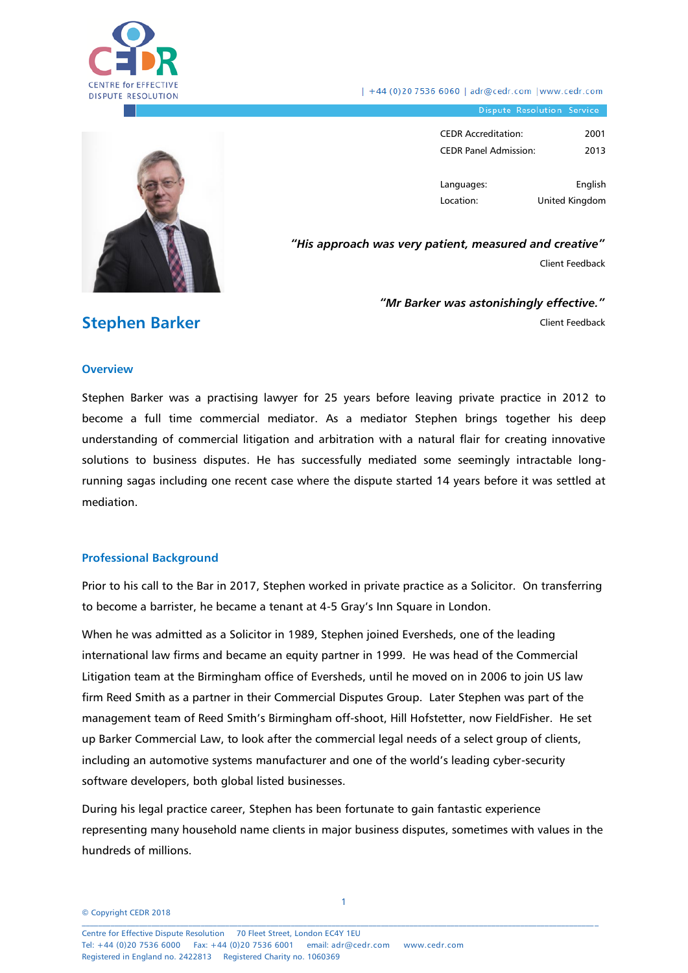

| +44 (0)20 7536 6060 | adr@cedr.com | www.cedr.com

Dispute Resolution Service

| CEDR Accreditation:          | 2001 |
|------------------------------|------|
| <b>CEDR Panel Admission:</b> | 2013 |

Languages: Location: English United Kingdom

*"His approach was very patient, measured and creative"*

Client Feedback

*"Mr Barker was astonishingly effective."* Client Feedback

## **Stephen Barker**

#### **Overview**

Stephen Barker was a practising lawyer for 25 years before leaving private practice in 2012 to become a full time commercial mediator. As a mediator Stephen brings together his deep understanding of commercial litigation and arbitration with a natural flair for creating innovative solutions to business disputes. He has successfully mediated some seemingly intractable longrunning sagas including one recent case where the dispute started 14 years before it was settled at mediation.

#### **Professional Background**

Prior to his call to the Bar in 2017, Stephen worked in private practice as a Solicitor. On transferring to become a barrister, he became a tenant at 4-5 Gray's Inn Square in London.

When he was admitted as a Solicitor in 1989, Stephen joined Eversheds, one of the leading international law firms and became an equity partner in 1999. He was head of the Commercial Litigation team at the Birmingham office of Eversheds, until he moved on in 2006 to join US law firm Reed Smith as a partner in their Commercial Disputes Group. Later Stephen was part of the management team of Reed Smith's Birmingham off-shoot, Hill Hofstetter, now FieldFisher. He set up Barker Commercial Law, to look after the commercial legal needs of a select group of clients, including an automotive systems manufacturer and one of the world's leading cyber-security software developers, both global listed businesses.

During his legal practice career, Stephen has been fortunate to gain fantastic experience representing many household name clients in major business disputes, sometimes with values in the hundreds of millions.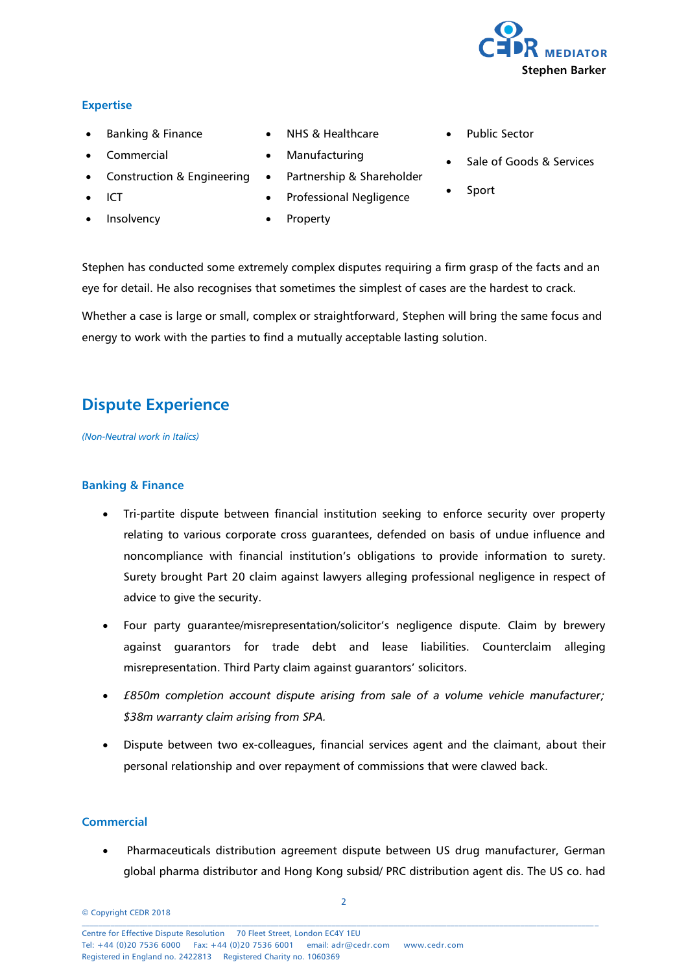

#### **Expertise**

- Banking & Finance
- Commercial
- Construction & Engineering
- ICT
- Insolvency
- NHS & Healthcare
- Manufacturing
- Partnership & Shareholder
- Professional Negligence
- Property
- Public Sector
- Sale of Goods & Services
- Sport

Stephen has conducted some extremely complex disputes requiring a firm grasp of the facts and an eye for detail. He also recognises that sometimes the simplest of cases are the hardest to crack.

Whether a case is large or small, complex or straightforward, Stephen will bring the same focus and energy to work with the parties to find a mutually acceptable lasting solution.

# **Dispute Experience**

*(Non-Neutral work in Italics)*

#### **Banking & Finance**

- Tri-partite dispute between financial institution seeking to enforce security over property relating to various corporate cross guarantees, defended on basis of undue influence and noncompliance with financial institution's obligations to provide information to surety. Surety brought Part 20 claim against lawyers alleging professional negligence in respect of advice to give the security.
- Four party guarantee/misrepresentation/solicitor's negligence dispute. Claim by brewery against guarantors for trade debt and lease liabilities. Counterclaim alleging misrepresentation. Third Party claim against guarantors' solicitors.
- *£850m completion account dispute arising from sale of a volume vehicle manufacturer; \$38m warranty claim arising from SPA.*
- Dispute between two ex-colleagues, financial services agent and the claimant, about their personal relationship and over repayment of commissions that were clawed back.

#### **Commercial**

 Pharmaceuticals distribution agreement dispute between US drug manufacturer, German global pharma distributor and Hong Kong subsid/ PRC distribution agent dis. The US co. had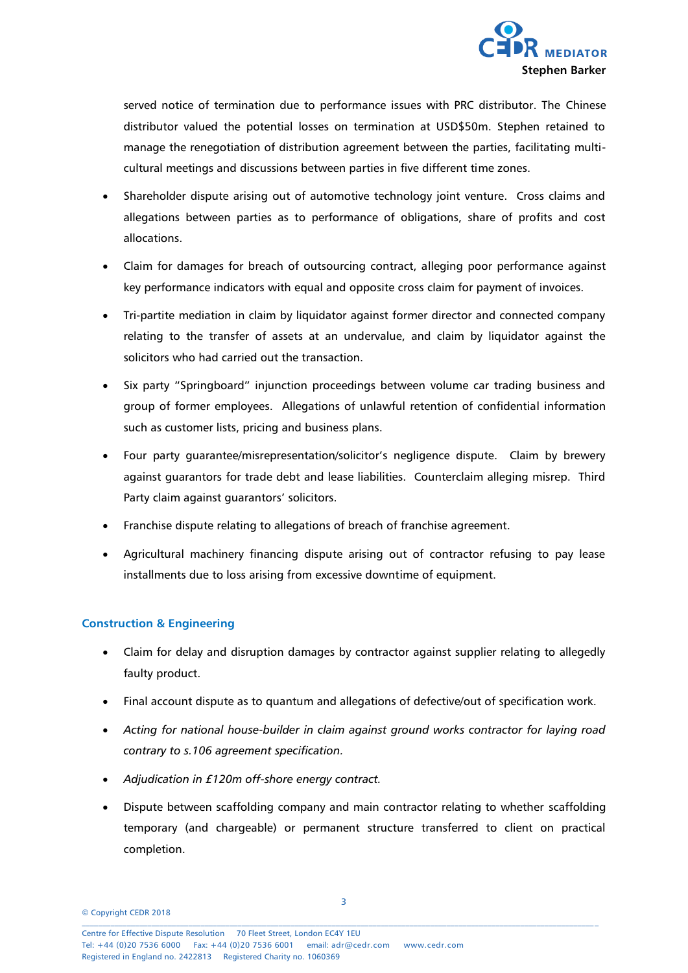

served notice of termination due to performance issues with PRC distributor. The Chinese distributor valued the potential losses on termination at USD\$50m. Stephen retained to manage the renegotiation of distribution agreement between the parties, facilitating multicultural meetings and discussions between parties in five different time zones.

- Shareholder dispute arising out of automotive technology joint venture. Cross claims and allegations between parties as to performance of obligations, share of profits and cost allocations.
- Claim for damages for breach of outsourcing contract, alleging poor performance against key performance indicators with equal and opposite cross claim for payment of invoices.
- Tri-partite mediation in claim by liquidator against former director and connected company relating to the transfer of assets at an undervalue, and claim by liquidator against the solicitors who had carried out the transaction.
- Six party "Springboard" injunction proceedings between volume car trading business and group of former employees. Allegations of unlawful retention of confidential information such as customer lists, pricing and business plans.
- Four party guarantee/misrepresentation/solicitor's negligence dispute. Claim by brewery against guarantors for trade debt and lease liabilities. Counterclaim alleging misrep. Third Party claim against guarantors' solicitors.
- Franchise dispute relating to allegations of breach of franchise agreement.
- Agricultural machinery financing dispute arising out of contractor refusing to pay lease installments due to loss arising from excessive downtime of equipment.

## **Construction & Engineering**

- Claim for delay and disruption damages by contractor against supplier relating to allegedly faulty product.
- Final account dispute as to quantum and allegations of defective/out of specification work.
- *Acting for national house-builder in claim against ground works contractor for laying road contrary to s.106 agreement specification.*
- *Adjudication in £120m off-shore energy contract.*
- Dispute between scaffolding company and main contractor relating to whether scaffolding temporary (and chargeable) or permanent structure transferred to client on practical completion.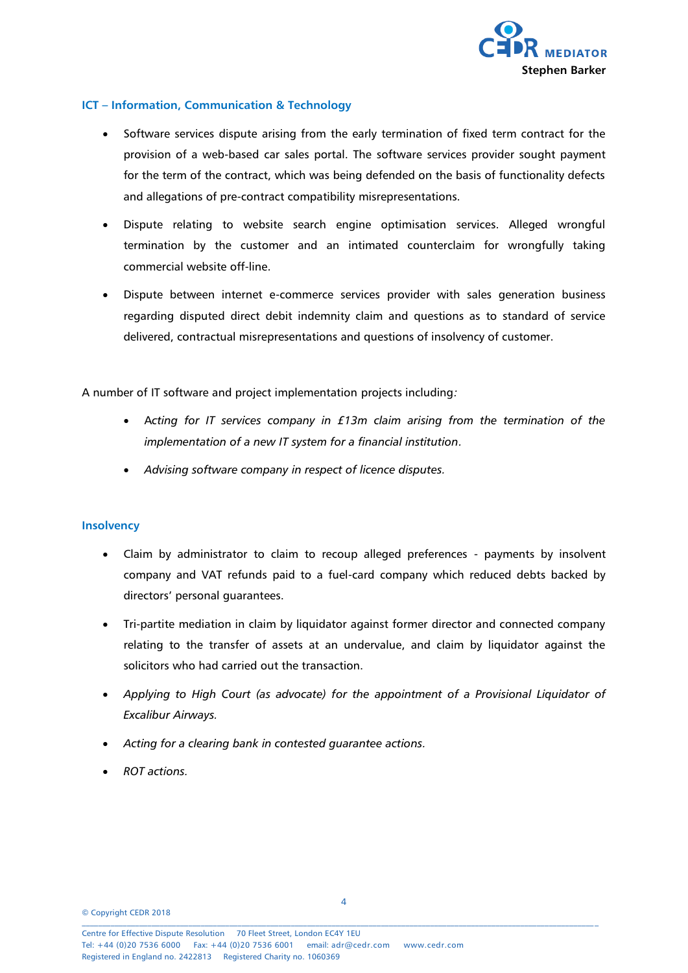

#### **ICT – Information, Communication & Technology**

- Software services dispute arising from the early termination of fixed term contract for the provision of a web-based car sales portal. The software services provider sought payment for the term of the contract, which was being defended on the basis of functionality defects and allegations of pre-contract compatibility misrepresentations.
- Dispute relating to website search engine optimisation services. Alleged wrongful termination by the customer and an intimated counterclaim for wrongfully taking commercial website off-line.
- Dispute between internet e-commerce services provider with sales generation business regarding disputed direct debit indemnity claim and questions as to standard of service delivered, contractual misrepresentations and questions of insolvency of customer.

A number of IT software and project implementation projects including*:* 

- A*cting for IT services company in £13m claim arising from the termination of the implementation of a new IT system for a financial institution.*
- *Advising software company in respect of licence disputes.*

#### **Insolvency**

- Claim by administrator to claim to recoup alleged preferences payments by insolvent company and VAT refunds paid to a fuel-card company which reduced debts backed by directors' personal guarantees.
- Tri-partite mediation in claim by liquidator against former director and connected company relating to the transfer of assets at an undervalue, and claim by liquidator against the solicitors who had carried out the transaction.
- *Applying to High Court (as advocate) for the appointment of a Provisional Liquidator of Excalibur Airways.*
- *Acting for a clearing bank in contested guarantee actions.*
- *ROT actions.*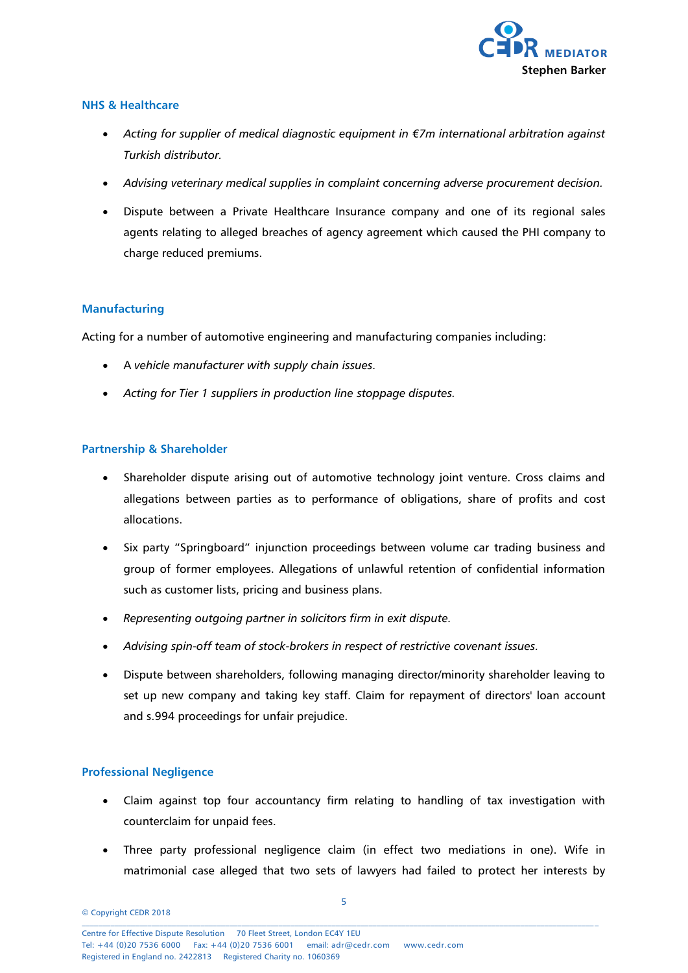

#### **NHS & Healthcare**

- *Acting for supplier of medical diagnostic equipment in €7m international arbitration against Turkish distributor.*
- *Advising veterinary medical supplies in complaint concerning adverse procurement decision.*
- Dispute between a Private Healthcare Insurance company and one of its regional sales agents relating to alleged breaches of agency agreement which caused the PHI company to charge reduced premiums.

#### **Manufacturing**

Acting for a number of automotive engineering and manufacturing companies including:

- A *vehicle manufacturer with supply chain issues.*
- *Acting for Tier 1 suppliers in production line stoppage disputes.*

## **Partnership & Shareholder**

- Shareholder dispute arising out of automotive technology joint venture. Cross claims and allegations between parties as to performance of obligations, share of profits and cost allocations.
- Six party "Springboard" injunction proceedings between volume car trading business and group of former employees. Allegations of unlawful retention of confidential information such as customer lists, pricing and business plans.
- *Representing outgoing partner in solicitors firm in exit dispute.*
- *Advising spin-off team of stock-brokers in respect of restrictive covenant issues.*
- Dispute between shareholders, following managing director/minority shareholder leaving to set up new company and taking key staff. Claim for repayment of directors' loan account and s.994 proceedings for unfair prejudice.

#### **Professional Negligence**

- Claim against top four accountancy firm relating to handling of tax investigation with counterclaim for unpaid fees.
- Three party professional negligence claim (in effect two mediations in one). Wife in matrimonial case alleged that two sets of lawyers had failed to protect her interests by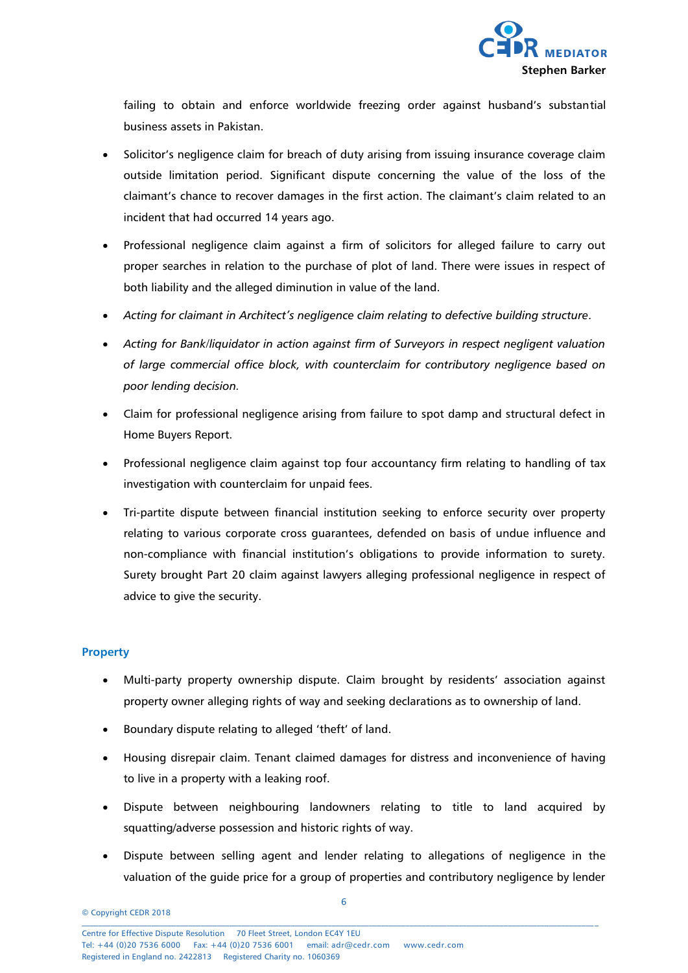

failing to obtain and enforce worldwide freezing order against husband's substantial business assets in Pakistan.

- Solicitor's negligence claim for breach of duty arising from issuing insurance coverage claim outside limitation period. Significant dispute concerning the value of the loss of the claimant's chance to recover damages in the first action. The claimant's claim related to an incident that had occurred 14 years ago.
- Professional negligence claim against a firm of solicitors for alleged failure to carry out proper searches in relation to the purchase of plot of land. There were issues in respect of both liability and the alleged diminution in value of the land.
- *Acting for claimant in Architect's negligence claim relating to defective building structure.*
- *Acting for Bank/liquidator in action against firm of Surveyors in respect negligent valuation of large commercial office block, with counterclaim for contributory negligence based on poor lending decision.*
- Claim for professional negligence arising from failure to spot damp and structural defect in Home Buyers Report.
- Professional negligence claim against top four accountancy firm relating to handling of tax investigation with counterclaim for unpaid fees.
- Tri-partite dispute between financial institution seeking to enforce security over property relating to various corporate cross guarantees, defended on basis of undue influence and non-compliance with financial institution's obligations to provide information to surety. Surety brought Part 20 claim against lawyers alleging professional negligence in respect of advice to give the security.

#### **Property**

- Multi-party property ownership dispute. Claim brought by residents' association against property owner alleging rights of way and seeking declarations as to ownership of land.
- Boundary dispute relating to alleged 'theft' of land.
- Housing disrepair claim. Tenant claimed damages for distress and inconvenience of having to live in a property with a leaking roof.
- Dispute between neighbouring landowners relating to title to land acquired by squatting/adverse possession and historic rights of way.
- Dispute between selling agent and lender relating to allegations of negligence in the valuation of the guide price for a group of properties and contributory negligence by lender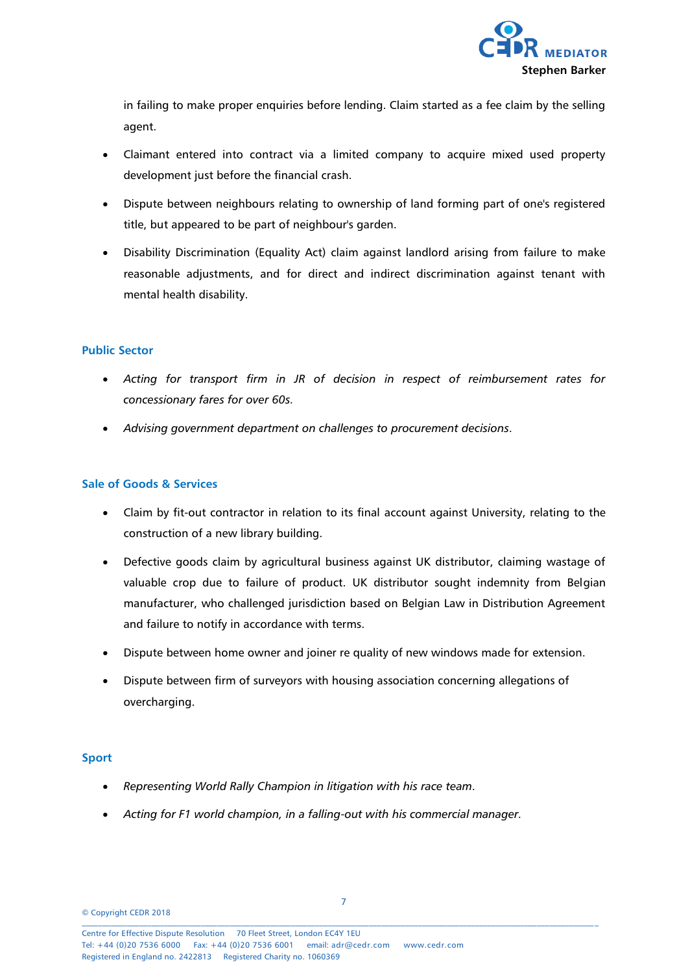

in failing to make proper enquiries before lending. Claim started as a fee claim by the selling agent.

- Claimant entered into contract via a limited company to acquire mixed used property development just before the financial crash.
- Dispute between neighbours relating to ownership of land forming part of one's registered title, but appeared to be part of neighbour's garden.
- Disability Discrimination (Equality Act) claim against landlord arising from failure to make reasonable adjustments, and for direct and indirect discrimination against tenant with mental health disability.

#### **Public Sector**

- *Acting for transport firm in JR of decision in respect of reimbursement rates for concessionary fares for over 60s.*
- *Advising government department on challenges to procurement decisions.*

#### **Sale of Goods & Services**

- Claim by fit-out contractor in relation to its final account against University, relating to the construction of a new library building.
- Defective goods claim by agricultural business against UK distributor, claiming wastage of valuable crop due to failure of product. UK distributor sought indemnity from Belgian manufacturer, who challenged jurisdiction based on Belgian Law in Distribution Agreement and failure to notify in accordance with terms.
- Dispute between home owner and joiner re quality of new windows made for extension.
- Dispute between firm of surveyors with housing association concerning allegations of overcharging.

#### **Sport**

- *Representing World Rally Champion in litigation with his race team.*
- *Acting for F1 world champion, in a falling-out with his commercial manager.*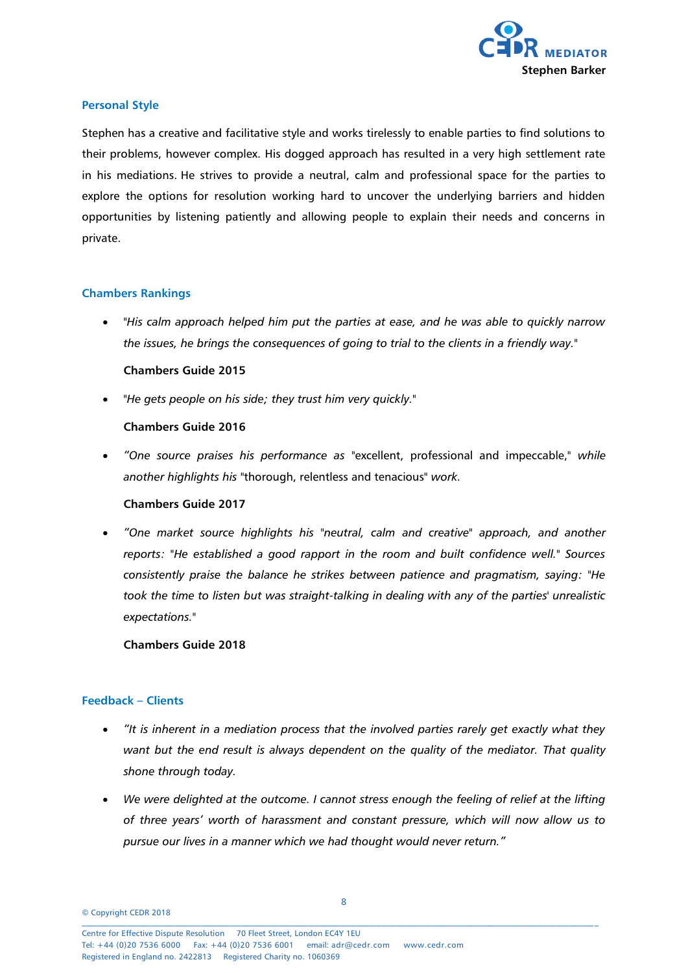

#### **Personal Style**

Stephen has a creative and facilitative style and works tirelessly to enable parties to find solutions to their problems, however complex. His dogged approach has resulted in a very high settlement rate in his mediations. He strives to provide a neutral, calm and professional space for the parties to explore the options for resolution working hard to uncover the underlying barriers and hidden opportunities by listening patiently and allowing people to explain their needs and concerns in private.

#### **Chambers Rankings**

 *"His calm approach helped him put the parties at ease, and he was able to quickly narrow the issues, he brings the consequences of going to trial to the clients in a friendly way."*

#### **Chambers Guide 2015**

*"He gets people on his side; they trust him very quickly."*

#### **Chambers Guide 2016**

 *"One source praises his performance as* "excellent, professional and impeccable," *while another highlights his* "thorough, relentless and tenacious" *work.*

#### **Chambers Guide 2017**

 *"One market source highlights his "neutral, calm and creative" approach, and another reports: "He established a good rapport in the room and built confidence well." Sources consistently praise the balance he strikes between patience and pragmatism, saying: "He took the time to listen but was straight-talking in dealing with any of the parties' unrealistic expectations."*

#### **Chambers Guide 2018**

#### **Feedback – Clients**

- *"It is inherent in a mediation process that the involved parties rarely get exactly what they want but the end result is always dependent on the quality of the mediator. That quality shone through today.*
- *We were delighted at the outcome. I cannot stress enough the feeling of relief at the lifting of three years' worth of harassment and constant pressure, which will now allow us to pursue our lives in a manner which we had thought would never return."*